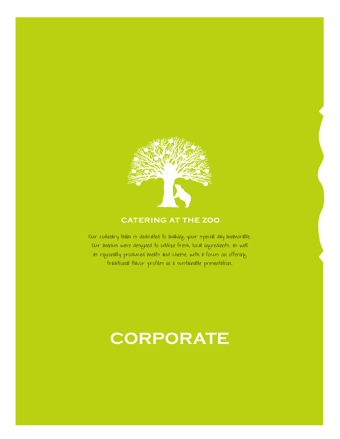

#### **CATERING AT THE ZOO**

Our culinary team is dedicated to making your special day memorable. Our menus were designed to utilize fresh, local ingredients, as well as regionally produced meats and cheese, with a focus on offering traditional flavor profiles in a sustainable presentation.

## **CORPORATE**

**catering at the zoo** CORPORATE PACKAGES 2021 | ONE CONSERVATION PLACE, SYRACUSE, NY 13204 | (315) 435-8511 x8543 | CATERINGAT THEZOO.ORG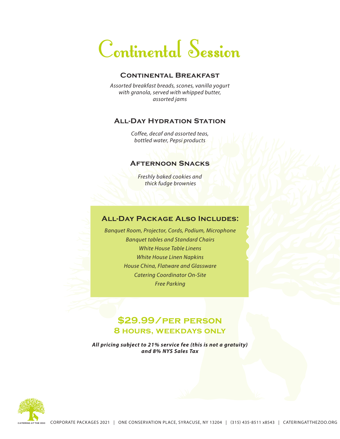# Continental Session

#### **Continental Breakfast**

*Assorted breakfast breads, scones, vanilla yogurt with granola, served with whipped butter, assorted jams*

#### **All-Day Hydration Station**

*Coffee, decaf and assorted teas, bottled water, Pepsi products*

#### **Afternoon Snacks**

*Freshly baked cookies and thick fudge brownies*

#### **All-Day Package Also Includes:**

*Banquet Room, Projector, Cords, Podium, Microphone Banquet tables and Standard Chairs White House Table Linens White House Linen Napkins House China, Flatware and Glassware Catering Coordinator On-Site Free Parking*

### **\$29.99/per person 8 hours, weekdays only**

*All pricing subject to 21% service fee (this is not a gratuity) and 8% NYS Sales Tax*

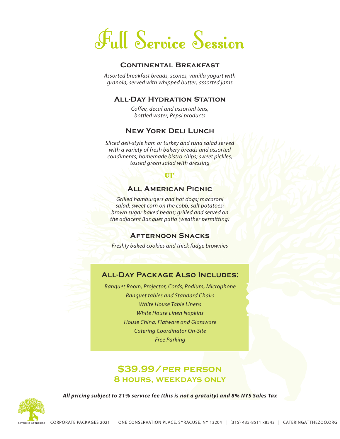# Full Service Session

#### **Continental Breakfast**

*Assorted breakfast breads, scones, vanilla yogurt with granola, served with whipped butter, assorted jams*

#### **All-Day Hydration Station**

*Coffee, decaf and assorted teas, bottled water, Pepsi products*

#### **New York Deli Lunch**

*Sliced deli-style ham or turkey and tuna salad served with a variety of fresh bakery breads and assorted condiments; homemade bistro chips; sweet pickles; tossed green salad with dressing*

#### or

#### **All American Picnic**

*Grilled hamburgers and hot dogs; macaroni salad; sweet corn on the cobb; salt potatoes; brown sugar baked beans; grilled and served on the adjacent Banquet patio (weather permitting)*

#### **Afternoon Snacks**

*Freshly baked cookies and thick fudge brownies*

#### **All-Day Package Also Includes:**

*Banquet Room, Projector, Cords, Podium, Microphone Banquet tables and Standard Chairs White House Table Linens White House Linen Napkins House China, Flatware and Glassware Catering Coordinator On-Site Free Parking*

### **\$39.99/per person 8 hours, weekdays only**

*All pricing subject to 21% service fee (this is not a gratuity) and 8% NYS Sales Tax*